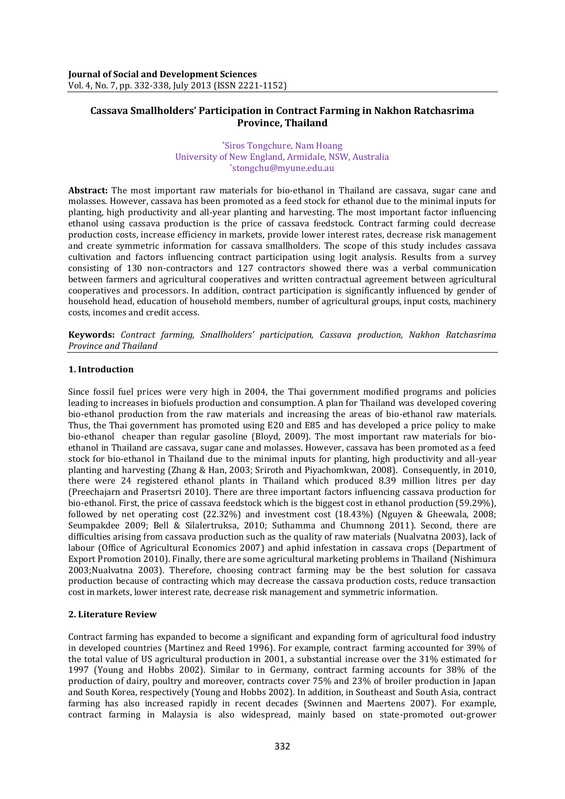# **Cassava Smallholders' Participation in Contract Farming in Nakhon Ratchasrima Province, Thailand**

#### \*Siros Tongchure, Nam Hoang University of New England, Armidale, NSW, Australia \*stongchu@myune.edu.au

**Abstract:** The most important raw materials for bio-ethanol in Thailand are cassava, sugar cane and molasses. However, cassava has been promoted as a feed stock for ethanol due to the minimal inputs for planting, high productivity and all-year planting and harvesting. The most important factor influencing ethanol using cassava production is the price of cassava feedstock. Contract farming could decrease production costs, increase efficiency in markets, provide lower interest rates, decrease risk management and create symmetric information for cassava smallholders. The scope of this study includes cassava cultivation and factors influencing contract participation using logit analysis. Results from a survey consisting of 130 non-contractors and 127 contractors showed there was a verbal communication between farmers and agricultural cooperatives and written contractual agreement between agricultural cooperatives and processors. In addition, contract participation is significantly influenced by gender of household head, education of household members, number of agricultural groups, input costs, machinery costs, incomes and credit access.

**Keywords:** *Contract farming, Smallholders' participation, Cassava production, Nakhon Ratchasrima Province and Thailand*

# **1. Introduction**

Since fossil fuel prices were very high in 2004, the Thai government modified programs and policies leading to increases in biofuels production and consumption. A plan for Thailand was developed covering bio-ethanol production from the raw materials and increasing the areas of bio-ethanol raw materials. Thus, the Thai government has promoted using E20 and E85 and has developed a price policy to make bio-ethanol cheaper than regular gasoline [\(Bloyd,](#page-5-0) 2009). The most important raw materials for bioethanol in Thailand are cassava, sugar cane and molasses. However, cassava has been promoted as a feed stock for bio-ethanol in Thailand due to the minimal inputs for planting, high productivity and all-year planting and harvesting [\(Zhang &](#page-6-0) Han, 2003; [Sriroth and Piyachomkwan,](#page-6-1) 2008). Consequently, in 2010, there were 24 registered ethanol plants in Thailand which produced 8.39 million litres per day [\(Preechajarn and Prasertsri 2010\)](#page-6-2). There are three important factors influencing cassava production for bio-ethanol. First, the price of cassava feedstock which is the biggest cost in ethanol production (59.29%), followed by net operating cost (22.32%) and investment cost (18.43%) [\(Nguyen &](#page-6-3) Gheewala, 2008; [Seumpakdee 2009;](#page-6-4) [Bell & Silalertruksa,](#page-5-1) 2010; [Suthamma and Chumnong 2011\)](#page-6-5). Second, there are difficulties arising from cassava production such as the quality of raw materials [\(Nualvatna 2003\)](#page-6-6), lack of labour [\(Office of Agricultural Economics 2007\)](#page-6-7) and aphid infestation in cassava crops [\(Department of](#page-5-2)  [Export Promotion 2010\)](#page-5-2). Finally, there are some agricultural marketing problems in Thailand [\(Nishimura](#page-6-8)  [2003;](#page-6-8)[Nualvatna 2003\)](#page-6-6). Therefore, choosing contract farming may be the best solution for cassava production because of contracting which may decrease the cassava production costs, reduce transaction cost in markets, lower interest rate, decrease risk management and symmetric information.

# **2. Literature Review**

Contract farming has expanded to become a significant and expanding form of agricultural food industry in developed countries [\(Martinez and Reed 1996\)](#page-6-9). For example, contract farming accounted for 39% of the total value of US agricultural production in 2001, a substantial increase over the 31% estimated for 1997 [\(Young and Hobbs 2002\)](#page-6-10). Similar to in Germany, contract farming accounts for 38% of the production of dairy, poultry and moreover, contracts cover 75% and 23% of broiler production in Japan and South Korea, respectively [\(Young and Hobbs 2002\)](#page-6-10). In addition, in Southeast and South Asia, contract farming has also increased rapidly in recent decades [\(Swinnen and Maertens 2007\)](#page-6-11). For example, contract farming in Malaysia is also widespread, mainly based on state-promoted out-grower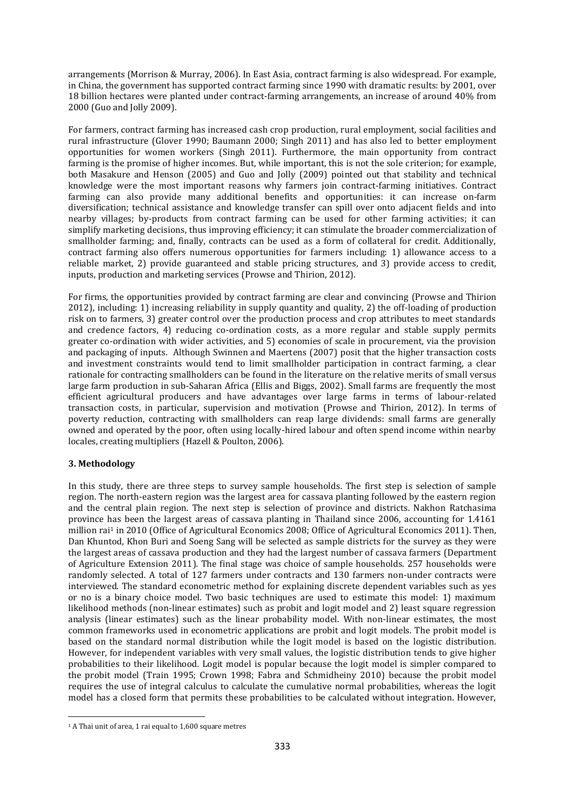arrangements [\(Morrison &](#page-6-12) Murray, 2006). In East Asia, contract farming is also widespread. For example, in China, the government has supported contract farming since 1990 with dramatic results: by 2001, over 18 billion hectares were planted under contract-farming arrangements, an increase of around 40% from 2000 [\(Guo and Jolly 2009\)](#page-5-3).

For farmers, contract farming has increased cash crop production, rural employment, social facilities and rural infrastructure [\(Glover 1990;](#page-5-4) [Baumann 2000;](#page-5-5) [Singh 2011\)](#page-6-13) and has also led to better employment opportunities for women workers [\(Singh 2011\)](#page-6-13). Furthermore, the main opportunity from contract farming is the promise of higher incomes. But, while important, this is not the sole criterion; for example, both [Masakure and Henson \(2005\)](#page-6-14) and [Guo and Jolly \(2009\)](#page-5-3) pointed out that stability and technical knowledge were the most important reasons why farmers join contract-farming initiatives. Contract farming can also provide many additional benefits and opportunities: it can increase on-farm diversification; technical assistance and knowledge transfer can spill over onto adjacent fields and into nearby villages; by-products from contract farming can be used for other farming activities; it can simplify marketing decisions, thus improving efficiency; it can stimulate the broader commercialization of smallholder farming; and, finally, contracts can be used as a form of collateral for credit. Additionally, contract farming also offers numerous opportunities for farmers including: 1) allowance access to a reliable market, 2) provide guaranteed and stable pricing structures, and 3) provide access to credit, inputs, production and marketing services [\(Prowse and Thirion,](#page-6-15) 2012).

For firms, the opportunities provided by contract farming are clear and convincing [\(Prowse and Thirion](#page-6-15)  [2012\)](#page-6-15), including: 1) increasing reliability in supply quantity and quality, 2) the off-loading of production risk on to farmers, 3) greater control over the production process and crop attributes to meet standards and credence factors, 4) reducing co-ordination costs, as a more regular and stable supply permits greater co-ordination with wider activities, and 5) economies of scale in procurement, via the provision and packaging of inputs. Although [Swinnen and Maertens \(2007\)](#page-6-11) posit that the higher transaction costs and investment constraints would tend to limit smallholder participation in contract farming, a clear rationale for contracting smallholders can be found in the literature on the relative merits of small versus large farm production in sub-Saharan Africa [\(Ellis and Biggs,](#page-5-6) 2002). Small farms are frequently the most efficient agricultural producers and have advantages over large farms in terms of labour-related transaction costs, in particular, supervision and motivation [\(Prowse and Thirion,](#page-6-15) 2012). In terms of poverty reduction, contracting with smallholders can reap large dividends: small farms are generally owned and operated by the poor, often using locally-hired labour and often spend income within nearby locales, creating multipliers (Hazell & [Poulton,](#page-5-7) 2006).

# **3. Methodology**

 $\overline{\phantom{a}}$ 

In this study, there are three steps to survey sample households. The first step is selection of sample region. The north-eastern region was the largest area for cassava planting followed by the eastern region and the central plain region. The next step is selection of province and districts. Nakhon Ratchasima province has been the largest areas of cassava planting in Thailand since 2006, accounting for 1.4161 million rai<sup>1</sup> in 2010 [\(Office of Agricultural Economics 2008;](#page-6-16) [Office of Agricultural Economics 2011\)](#page-6-17). Then, Dan Khuntod, Khon Buri and Soeng Sang will be selected as sample districts for the survey as they were the largest areas of cassava production and they had the largest number of cassava farmers [\(Department](#page-5-8)  [of Agriculture Extension 2011\)](#page-5-8). The final stage was choice of sample households. 257 households were randomly selected. A total of 127 farmers under contracts and 130 farmers non-under contracts were interviewed. The standard econometric method for explaining discrete dependent variables such as yes or no is a binary choice model. Two basic techniques are used to estimate this model: 1) maximum likelihood methods (non-linear estimates) such as probit and logit model and 2) least square regression analysis (linear estimates) such as the linear probability model. With non-linear estimates, the most common frameworks used in econometric applications are probit and logit models. The probit model is based on the standard normal distribution while the logit model is based on the logistic distribution. However, for independent variables with very small values, the logistic distribution tends to give higher probabilities to their likelihood. Logit model is popular because the logit model is simpler compared to the probit model [\(Train 1995;](#page-6-18) [Crown 1998;](#page-5-9) [Fabra and Schmidheiny 2010\)](#page-5-10) because the probit model requires the use of integral calculus to calculate the cumulative normal probabilities, whereas the logit model has a closed form that permits these probabilities to be calculated without integration. However,

<sup>1</sup> A Thai unit of area, 1 rai equal to 1,600 square metres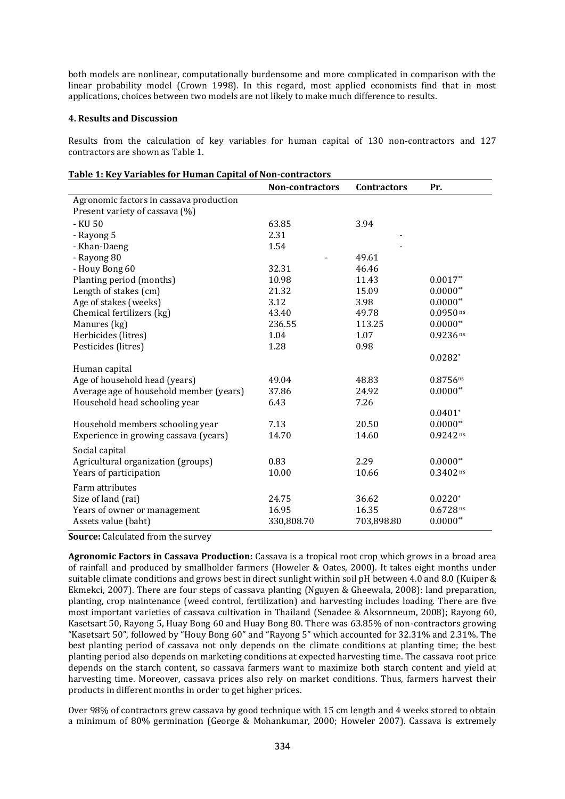both models are nonlinear, computationally burdensome and more complicated in comparison with the linear probability model [\(Crown 1998\)](#page-5-9). In this regard, most applied economists find that in most applications, choices between two models are not likely to make much difference to results.

#### **4. Results and Discussion**

Results from the calculation of key variables for human capital of 130 non-contractors and 127 contractors are shown as Table 1.

| 1 U.UI LII INC V<br>variables for framal capital of Non-contractors | <b>Non-contractors</b> | <b>Contractors</b> | Pr.         |  |  |  |  |
|---------------------------------------------------------------------|------------------------|--------------------|-------------|--|--|--|--|
| Agronomic factors in cassava production                             |                        |                    |             |  |  |  |  |
| Present variety of cassava (%)                                      |                        |                    |             |  |  |  |  |
| - KU 50                                                             | 63.85                  | 3.94               |             |  |  |  |  |
| - Rayong 5                                                          | 2.31                   |                    |             |  |  |  |  |
| - Khan-Daeng                                                        | 1.54                   |                    |             |  |  |  |  |
| - Rayong 80                                                         |                        | 49.61              |             |  |  |  |  |
| - Houy Bong 60                                                      | 32.31                  | 46.46              |             |  |  |  |  |
| Planting period (months)                                            | 10.98                  | 11.43              | $0.0017**$  |  |  |  |  |
| Length of stakes (cm)                                               | 21.32                  | 15.09              | $0.0000**$  |  |  |  |  |
| Age of stakes (weeks)                                               | 3.12                   | 3.98               | $0.0000**$  |  |  |  |  |
| Chemical fertilizers (kg)                                           | 43.40                  | 49.78              | $0.0950$ ns |  |  |  |  |
| Manures (kg)                                                        | 236.55                 | 113.25             | $0.0000**$  |  |  |  |  |
| Herbicides (litres)                                                 | 1.04                   | 1.07               | $0.9236$ ns |  |  |  |  |
| Pesticides (litres)                                                 | 1.28                   | 0.98               |             |  |  |  |  |
|                                                                     |                        |                    | $0.0282*$   |  |  |  |  |
| Human capital                                                       |                        |                    |             |  |  |  |  |
| Age of household head (years)                                       | 49.04                  | 48.83              | $0.8756$ ns |  |  |  |  |
| Average age of household member (years)                             | 37.86                  | 24.92              | $0.0000**$  |  |  |  |  |
| Household head schooling year                                       | 6.43                   | 7.26               |             |  |  |  |  |
|                                                                     |                        |                    | $0.0401*$   |  |  |  |  |
| Household members schooling year                                    | 7.13                   | 20.50              | $0.0000**$  |  |  |  |  |
| Experience in growing cassava (years)                               | 14.70                  | 14.60              | $0.9242$ ns |  |  |  |  |
| Social capital                                                      |                        |                    |             |  |  |  |  |
| Agricultural organization (groups)                                  | 0.83                   | 2.29               | $0.0000**$  |  |  |  |  |
| Years of participation                                              | 10.00                  | 10.66              | $0.3402$ ns |  |  |  |  |
| Farm attributes                                                     |                        |                    |             |  |  |  |  |
| Size of land (rai)                                                  | 24.75                  | 36.62              | $0.0220*$   |  |  |  |  |
| Years of owner or management                                        | 16.95                  | 16.35              | $0.6728$ ns |  |  |  |  |
| Assets value (baht)                                                 | 330,808.70             | 703,898.80         | $0.0000**$  |  |  |  |  |
|                                                                     |                        |                    |             |  |  |  |  |

|  |  | Table 1: Key Variables for Human Capital of Non-contractors |
|--|--|-------------------------------------------------------------|
|  |  |                                                             |
|  |  |                                                             |

**Source:** Calculated from the survey

**Agronomic Factors in Cassava Production:** Cassava is a tropical root crop which grows in a broad area of rainfall and produced by smallholder farmers [\(Howeler &](#page-6-19) Oates, 2000). It takes eight months under suitable climate conditions and grows best in direct sunlight within soil pH between 4.0 and 8.0 (Kuiper & Ekmekci, 2007). There are four steps of cassava planting [\(Nguyen &](#page-6-3) Gheewala, 2008): land preparation, planting, crop maintenance (weed control, fertilization) and harvesting includes loading. There are five most important varieties of cassava cultivation in Thailand (Senadee & [Aksornneum,](#page-6-20) 2008); Rayong 60, Kasetsart 50, Rayong 5, Huay Bong 60 and Huay Bong 80. There was 63.85% of non-contractors growing "Kasetsart 50", followed by "Houy Bong 60" and "Rayong 5" which accounted for 32.31% and 2.31%. The best planting period of cassava not only depends on the climate conditions at planting time; the best planting period also depends on marketing conditions at expected harvesting time. The cassava root price depends on the starch content, so cassava farmers want to maximize both starch content and yield at harvesting time. Moreover, cassava prices also rely on market conditions. Thus, farmers harvest their products in different months in order to get higher prices.

Over 98% of contractors grew cassava by good technique with 15 cm length and 4 weeks stored to obtain a minimum of 80% germination (George & [Mohankumar,](#page-5-11) 2000; [Howeler 2007\)](#page-6-21). Cassava is extremely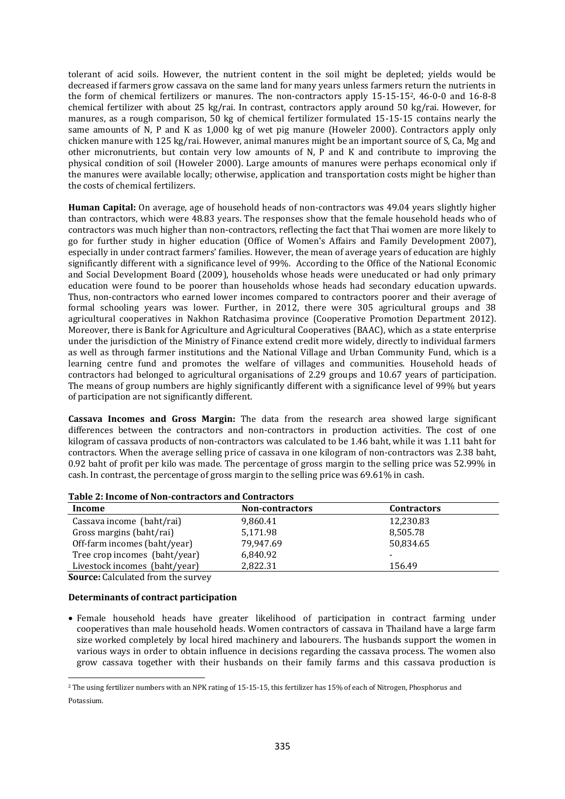tolerant of acid soils. However, the nutrient content in the soil might be depleted; yields would be decreased if farmers grow cassava on the same land for many years unless farmers return the nutrients in the form of chemical fertilizers or manures. The non-contractors apply 15-15-152, 46-0-0 and 16-8-8 chemical fertilizer with about 25 kg/rai. In contrast, contractors apply around 50 kg/rai. However, for manures, as a rough comparison, 50 kg of chemical fertilizer formulated 15-15-15 contains nearly the same amounts of N, P and K as 1,000 kg of wet pig manure [\(Howeler 2000\)](#page-6-22). Contractors apply only chicken manure with 125 kg/rai. However, animal manures might be an important source of S, Ca, Mg and other micronutrients, but contain very low amounts of N, P and K and contribute to improving the physical condition of soil [\(Howeler 2000\)](#page-6-22). Large amounts of manures were perhaps economical only if the manures were available locally; otherwise, application and transportation costs might be higher than the costs of chemical fertilizers.

**Human Capital:** On average, age of household heads of non-contractors was 49.04 years slightly higher than contractors, which were 48.83 years. The responses show that the female household heads who of contractors was much higher than non-contractors, reflecting the fact that Thai women are more likely to go for further study in higher education [\(Office of Women's Affairs and Family Development 2007\)](#page-6-23), especially in under contract farmers' families. However, the mean of average years of education are highly significantly different with a significance level of 99%. According to the [Office of the National](#page-6-24) Economic [and Social Development Board \(2009\)](#page-6-24), households whose heads were uneducated or had only primary education were found to be poorer than households whose heads had secondary education upwards. Thus, non-contractors who earned lower incomes compared to contractors poorer and their average of formal schooling years was lower. Further, in 2012, there were 305 agricultural groups and 38 agricultural cooperatives in Nakhon Ratchasima province [\(Cooperative Promotion Department 2012\)](#page-5-12). Moreover, there is Bank for Agriculture and Agricultural Cooperatives (BAAC), which as a state enterprise under the jurisdiction of the Ministry of Finance extend credit more widely, directly to individual farmers as well as through farmer institutions and the National Village and Urban Community Fund, which is a learning centre fund and promotes the welfare of villages and communities. Household heads of contractors had belonged to agricultural organisations of 2.29 groups and 10.67 years of participation. The means of group numbers are highly significantly different with a significance level of 99% but years of participation are not significantly different.

**Cassava Incomes and Gross Margin:** The data from the research area showed large significant differences between the contractors and non-contractors in production activities. The cost of one kilogram of cassava products of non-contractors was calculated to be 1.46 baht, while it was 1.11 baht for contractors. When the average selling price of cassava in one kilogram of non-contractors was 2.38 baht, 0.92 baht of profit per kilo was made. The percentage of gross margin to the selling price was 52.99% in cash. In contrast, the percentage of gross margin to the selling price was 69.61% in cash.

| Table 2. Hitchne of Non-Colly actors and Colly actors |                        |                    |  |  |  |
|-------------------------------------------------------|------------------------|--------------------|--|--|--|
| Income                                                | <b>Non-contractors</b> | <b>Contractors</b> |  |  |  |
| Cassava income (baht/rai)                             | 9,860.41               | 12,230.83          |  |  |  |
| Gross margins (baht/rai)                              | 5,171.98               | 8,505.78           |  |  |  |
| Off-farm incomes (baht/year)                          | 79.947.69              | 50,834.65          |  |  |  |
| Tree crop incomes (baht/year)                         | 6,840.92               |                    |  |  |  |
| Livestock incomes (baht/year)                         | 2,822.31               | 156.49             |  |  |  |
|                                                       |                        |                    |  |  |  |

### **Table 2: Income of Non-contractors and Contractors**

**Source:** Calculated from the survey

**.** 

#### **Determinants of contract participation**

 Female household heads have greater likelihood of participation in contract farming under cooperatives than male household heads. Women contractors of cassava in Thailand have a large farm size worked completely by local hired machinery and labourers. The husbands support the women in various ways in order to obtain influence in decisions regarding the cassava process. The women also grow cassava together with their husbands on their family farms and this cassava production is

<sup>2</sup> The using fertilizer numbers with an NPK rating of 15-15-15, this fertilizer has 15% of each of Nitrogen, Phosphorus and Potassium.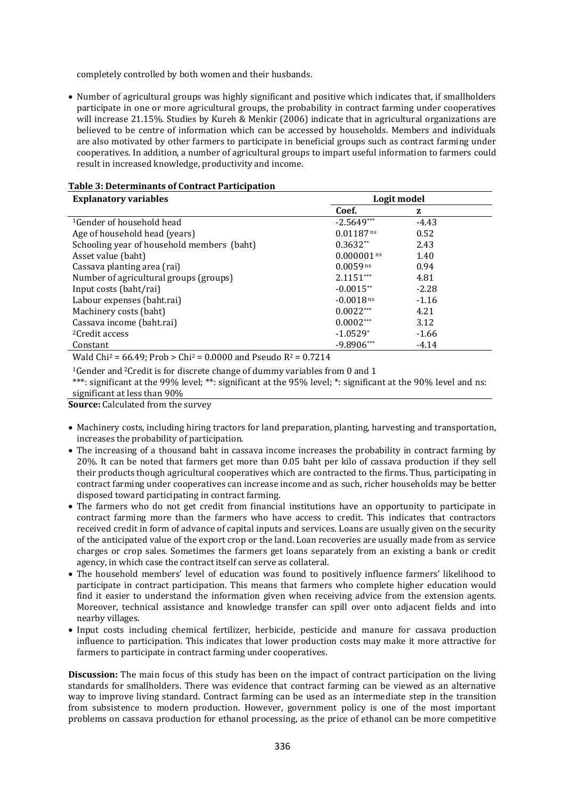completely controlled by both women and their husbands.

• Number of agricultural groups was highly significant and positive which indicates that, if smallholders participate in one or more agricultural groups, the probability in contract farming under cooperatives will increase 21.15%. Studies by Kureh & [Menkir \(2006\)](#page-6-25) indicate that in agricultural organizations are believed to be centre of information which can be accessed by households. Members and individuals are also motivated by other farmers to participate in beneficial groups such as contract farming under cooperatives. In addition, a number of agricultural groups to impart useful information to farmers could result in increased knowledge, productivity and income.

| <b>Explanatory variables</b>               | Logit model   |         |
|--------------------------------------------|---------------|---------|
|                                            | Coef.         | z       |
| <sup>1</sup> Gender of household head      | $-2.5649***$  | $-4.43$ |
| Age of household head (years)              | $0.01187$ ns  | 0.52    |
| Schooling year of household members (baht) | $0.3632**$    | 2.43    |
| Asset value (baht)                         | $0.000001$ ns | 1.40    |
| Cassava planting area (rai)                | $0.0059$ ns   | 0.94    |
| Number of agricultural groups (groups)     | $2.1151***$   | 4.81    |
| Input costs (baht/rai)                     | $-0.0015**$   | $-2.28$ |
| Labour expenses (baht.rai)                 | $-0.0018$ ns  | $-1.16$ |
| Machinery costs (baht)                     | $0.0022***$   | 4.21    |
| Cassava income (baht.rai)                  | $0.0002***$   | 3.12    |
| <sup>2</sup> Credit access                 | $-1.0529*$    | $-1.66$ |
| Constant                                   | $-9.8906***$  | $-4.14$ |

#### **Table 3: Determinants of Contract Participation**

Wald Chi<sup>2</sup> = 66.49; Prob > Chi<sup>2</sup> = 0.0000 and Pseudo R<sup>2</sup> = 0.7214

<sup>1</sup>Gender and <sup>2</sup>Credit is for discrete change of dummy variables from 0 and 1

\*\*\*: significant at the 99% level; \*\*: significant at the 95% level; \*: significant at the 90% level and ns: significant at less than 90%

**Source:** Calculated from the survey

- Machinery costs, including hiring tractors for land preparation, planting, harvesting and transportation, increases the probability of participation.
- The increasing of a thousand baht in cassava income increases the probability in contract farming by 20%. It can be noted that farmers get more than 0.05 baht per kilo of cassava production if they sell their products though agricultural cooperatives which are contracted to the firms. Thus, participating in contract farming under cooperatives can increase income and as such, richer households may be better disposed toward participating in contract farming.
- The farmers who do not get credit from financial institutions have an opportunity to participate in contract farming more than the farmers who have access to credit. This indicates that contractors received credit in form of advance of capital inputs and services. Loans are usually given on the security of the anticipated value of the export crop or the land. Loan recoveries are usually made from as service charges or crop sales. Sometimes the farmers get loans separately from an existing a bank or credit agency, in which case the contract itself can serve as collateral.
- The household members' level of education was found to positively influence farmers' likelihood to participate in contract participation. This means that farmers who complete higher education would find it easier to understand the information given when receiving advice from the extension agents. Moreover, technical assistance and knowledge transfer can spill over onto adjacent fields and into nearby villages.
- Input costs including chemical fertilizer, herbicide, pesticide and manure for cassava production influence to participation. This indicates that lower production costs may make it more attractive for farmers to participate in contract farming under cooperatives.

**Discussion:** The main focus of this study has been on the impact of contract participation on the living standards for smallholders. There was evidence that contract farming can be viewed as an alternative way to improve living standard. Contract farming can be used as an intermediate step in the transition from subsistence to modern production. However, government policy is one of the most important problems on cassava production for ethanol processing, as the price of ethanol can be more competitive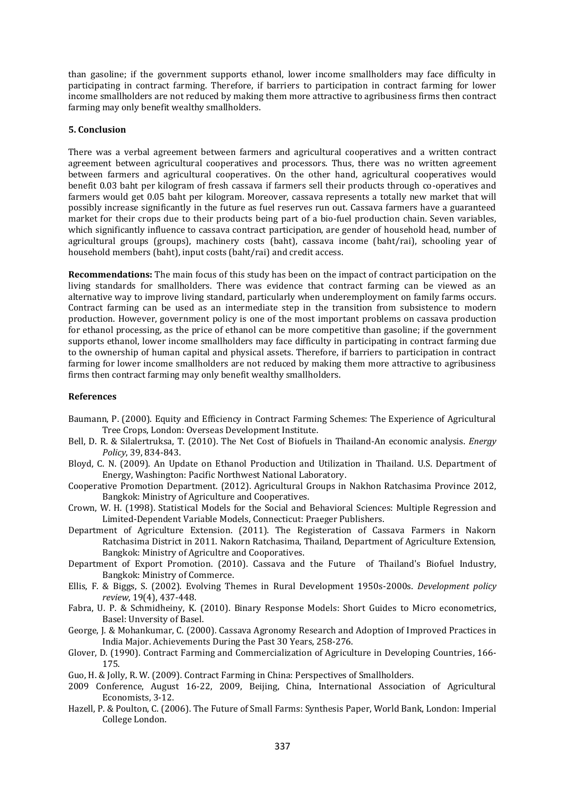than gasoline; if the government supports ethanol, lower income smallholders may face difficulty in participating in contract farming. Therefore, if barriers to participation in contract farming for lower income smallholders are not reduced by making them more attractive to agribusiness firms then contract farming may only benefit wealthy smallholders.

#### **5. Conclusion**

There was a verbal agreement between farmers and agricultural cooperatives and a written contract agreement between agricultural cooperatives and processors. Thus, there was no written agreement between farmers and agricultural cooperatives. On the other hand, agricultural cooperatives would benefit 0.03 baht per kilogram of fresh cassava if farmers sell their products through co-operatives and farmers would get 0.05 baht per kilogram. Moreover, cassava represents a totally new market that will possibly increase significantly in the future as fuel reserves run out. Cassava farmers have a guaranteed market for their crops due to their products being part of a bio-fuel production chain. Seven variables, which significantly influence to cassava contract participation, are gender of household head, number of agricultural groups (groups), machinery costs (baht), cassava income (baht/rai), schooling year of household members (baht), input costs (baht/rai) and credit access.

**Recommendations:** The main focus of this study has been on the impact of contract participation on the living standards for smallholders. There was evidence that contract farming can be viewed as an alternative way to improve living standard, particularly when underemployment on family farms occurs. Contract farming can be used as an intermediate step in the transition from subsistence to modern production. However, government policy is one of the most important problems on cassava production for ethanol processing, as the price of ethanol can be more competitive than gasoline; if the government supports ethanol, lower income smallholders may face difficulty in participating in contract farming due to the ownership of human capital and physical assets. Therefore, if barriers to participation in contract farming for lower income smallholders are not reduced by making them more attractive to agribusiness firms then contract farming may only benefit wealthy smallholders.

#### **References**

- <span id="page-5-5"></span>Baumann, P. (2000). Equity and Efficiency in Contract Farming Schemes: The Experience of Agricultural Tree Crops, London: Overseas Development Institute.
- <span id="page-5-1"></span>Bell, D. R. & Silalertruksa, T. (2010). The Net Cost of Biofuels in Thailand-An economic analysis. *Energy Policy*, 39, 834-843.
- <span id="page-5-0"></span>Bloyd, C. N. (2009). An Update on Ethanol Production and Utilization in Thailand. U.S. Department of Energy, Washington: Pacific Northwest National Laboratory.
- <span id="page-5-12"></span>Cooperative Promotion Department. (2012). Agricultural Groups in Nakhon Ratchasima Province 2012, Bangkok: Ministry of Agriculture and Cooperatives.
- <span id="page-5-9"></span>Crown, W. H. (1998). Statistical Models for the Social and Behavioral Sciences: Multiple Regression and Limited-Dependent Variable Models, Connecticut: Praeger Publishers.
- <span id="page-5-8"></span>Department of Agriculture Extension. (2011). The Registeration of Cassava Farmers in Nakorn Ratchasima District in 2011. Nakorn Ratchasima, Thailand, Department of Agriculture Extension, Bangkok: Ministry of Agricultre and Cooporatives.
- <span id="page-5-2"></span>Department of Export Promotion. (2010). Cassava and the Future of Thailand's Biofuel Industry, Bangkok: Ministry of Commerce.
- <span id="page-5-6"></span>Ellis, F. & Biggs, S. (2002). Evolving Themes in Rural Development 1950s‐2000s. *Development policy review*, 19(4), 437-448.
- <span id="page-5-10"></span>Fabra, U. P. & Schmidheiny, K. (2010). Binary Response Models: Short Guides to Micro econometrics, Basel: Unversity of Basel.
- <span id="page-5-11"></span>George, J. & Mohankumar, C. (2000). Cassava Agronomy Research and Adoption of Improved Practices in India Major. Achievements During the Past 30 Years, 258-276.
- <span id="page-5-4"></span>Glover, D. (1990). Contract Farming and Commercialization of Agriculture in Developing Countries, 166- 175.
- <span id="page-5-3"></span>Guo, H. & Jolly, R. W. (2009). Contract Farming in China: Perspectives of Smallholders.
- 2009 Conference, August 16-22, 2009, Beijing, China, International Association of Agricultural Economists, 3-12.
- <span id="page-5-7"></span>Hazell, P. & Poulton, C. (2006). The Future of Small Farms: Synthesis Paper, World Bank, London: Imperial College London.